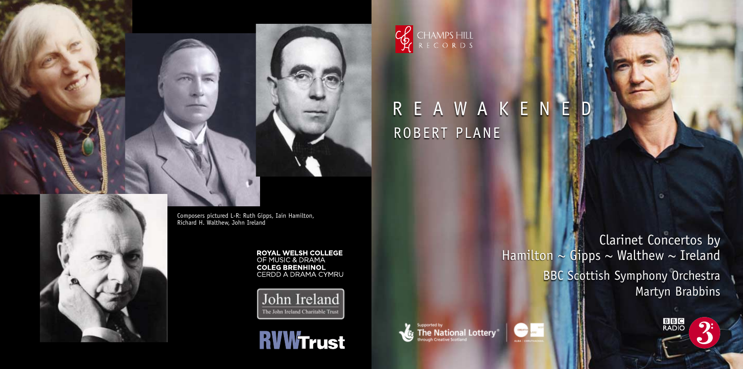

Composers pictured L-R: Ruth Gipps, Iain Hamilton, Richard H. Walthew, John Ireland

> **ROYAL WELSH COLLEGE**<br>OF MUSIC & DRAMA **COLEG BRENHINOL**<br>CERDD A DRAMA CYMRU

John Ireland The John Ireland Charitable Trust

**RVWTrust** 

Clarinet Concertos by Hamilton  $\sim$  Gipps  $\sim$  Walthew  $\sim$  Ireland BBC Scottish Symphony Orchestra Martyn Brabbins



ROBERT PLANE

upported by

CHAMPSHILL<br>RECORDS

REAWAKENED

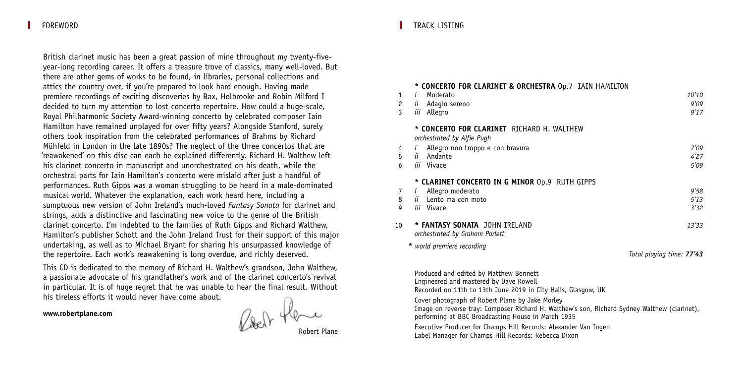FOREWORD

British clarinet music has been a great passion of mine throughout my twenty-fiveyear-long recording career. It offers a treasure trove of classics, many well-loved. But there are other gems of works to be found, in libraries, personal collections and attics the country over, if you're prepared to look hard enough. Having made premiere recordings of exciting discoveries by Bax, Holbrooke and Robin Milford I decided to turn my attention to lost concerto repertoire. How could a huge-scale, Royal Philharmonic Society Award-winning concerto by celebrated composer Iain Hamilton have remained unplayed for over fifty years? Alongside Stanford, surely others took inspiration from the celebrated performances of Brahms by Richard Mühfeld in London in the late 1890s? The neglect of the three concertos that are 'reawakened' on this disc can each be explained differently. Richard H. Walthew left his clarinet concerto in manuscript and unorchestrated on his death, while the orchestral parts for Iain Hamilton's concerto were mislaid after just a handful of performances. Ruth Gipps was a woman struggling to be heard in a male-dominated musical world. Whatever the explanation, each work heard here, including a sumptuous new version of John Ireland's much-loved *Fantasy Sonata* for clarinet and strings, adds a distinctive and fascinating new voice to the genre of the British clarinet concerto. I'm indebted to the families of Ruth Gipps and Richard Walthew, Hamilton's publisher Schott and the John Ireland Trust for their support of this major undertaking, as well as to Michael Bryant for sharing his unsurpassed knowledge of the repertoire. Each work's reawakening is long overdue, and richly deserved.

This CD is dedicated to the memory of Richard H. Walthew's grandson, John Walthew, a passionate advocate of his grandfather's work and of the clarinet concerto's revival in particular. It is of huge regret that he was unable to hear the final result. Without his tireless efforts it would never have come about.

**www.robertplane.com**

Robert Plane

#### TRACK LISTING

| $\mathbf{1}$<br>$\overline{c}$ | * CONCERTO FOR CLARINET & ORCHESTRA Op.7 IAIN HAMILTON<br>Moderato<br>Í.<br><i>ii</i> Adagio sereno | 10'10<br>9'09             |
|--------------------------------|-----------------------------------------------------------------------------------------------------|---------------------------|
| 3                              | iii Allegro                                                                                         | 9'17                      |
|                                | * CONCERTO FOR CLARINET RICHARD H. WALTHEW<br>orchestrated by Alfie Pugh                            |                           |
| 4                              | Allegro non troppo e con bravura<br>$\mathbf{I}$                                                    | 7'09                      |
| 5                              | Andante<br>ïί                                                                                       | 4'27                      |
| 6                              | iii Vivace                                                                                          | 5'09                      |
|                                | * CLARINET CONCERTO IN G MINOR Op.9 RUTH GIPPS                                                      |                           |
|                                | Allegro moderato<br>Í.                                                                              | 9'58                      |
| 8                              | $ii$ Lento ma con moto                                                                              | 5'13                      |
| 9                              | iii Vivace                                                                                          | 3'32                      |
| 10                             | * FANTASY SONATA JOHN IRELAND<br>orchestrated by Graham Parlett                                     | 13'33                     |
|                                | * world premiere recording                                                                          | Total playing time: 77'43 |
|                                | Draduard and adjted by Matthew Dannatt                                                              |                           |

Produced and edited by Matthew Bennett Engineered and mastered by Dave Rowell Recorded on 11th to 13th June 2019 in City Halls, Glasgow, UK

Cover photograph of Robert Plane by Jake Morley

Image on reverse tray: Composer Richard H. Walthew's son, Richard Sydney Walthew (clarinet), performing at BBC Broadcasting House in March 1935

Executive Producer for Champs Hill Records: Alexander Van Ingen Label Manager for Champs Hill Records: Rebecca Dixon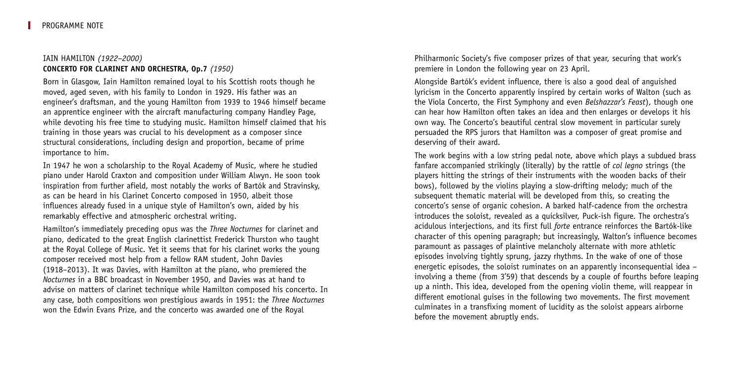# IAIN HAMILTON *(1922–2000)* **CONCERTO FOR CLARINET AND ORCHESTRA, Op.7** *(1950)*

Born in Glasgow, Iain Hamilton remained loyal to his Scottish roots though he moved, aged seven, with his family to London in 1929. His father was an engineer's draftsman, and the young Hamilton from 1939 to 1946 himself became an apprentice engineer with the aircraft manufacturing company Handley Page, while devoting his free time to studying music. Hamilton himself claimed that his training in those years was crucial to his development as a composer since structural considerations, including design and proportion, became of prime importance to him.

In 1947 he won a scholarship to the Royal Academy of Music, where he studied piano under Harold Craxton and composition under William Alwyn. He soon took inspiration from further afield, most notably the works of Bartók and Stravinsky, as can be heard in his Clarinet Concerto composed in 1950, albeit those influences already fused in a unique style of Hamilton's own, aided by his remarkably effective and atmospheric orchestral writing.

Hamilton's immediately preceding opus was the *Three Nocturnes* for clarinet and piano, dedicated to the great English clarinettist Frederick Thurston who taught at the Royal College of Music. Yet it seems that for his clarinet works the young composer received most help from a fellow RAM student, John Davies (1918–2013). It was Davies, with Hamilton at the piano, who premiered the *Nocturnes* in a BBC broadcast in November 1950, and Davies was at hand to advise on matters of clarinet technique while Hamilton composed his concerto. In any case, both compositions won prestigious awards in 1951: the *Three Nocturnes* won the Edwin Evans Prize, and the concerto was awarded one of the Royal

Philharmonic Society's five composer prizes of that year, securing that work's premiere in London the following year on 23 April.

Alongside Bartók's evident influence, there is also a good deal of anguished lyricism in the Concerto apparently inspired by certain works of Walton (such as the Viola Concerto, the First Symphony and even *Belshazzar's Feast*), though one can hear how Hamilton often takes an idea and then enlarges or develops it his own way. The Concerto's beautiful central slow movement in particular surely persuaded the RPS jurors that Hamilton was a composer of great promise and deserving of their award.

The work begins with a low string pedal note, above which plays a subdued brass fanfare accompanied strikingly (literally) by the rattle of *col legno* strings (the players hitting the strings of their instruments with the wooden backs of their bows), followed by the violins playing a slow-drifting melody; much of the subsequent thematic material will be developed from this, so creating the concerto's sense of organic cohesion. A barked half-cadence from the orchestra introduces the soloist, revealed as a quicksilver, Puck-ish figure. The orchestra's acidulous interjections, and its first full *forte* entrance reinforces the Bartók-like character of this opening paragraph; but increasingly, Walton's influence becomes paramount as passages of plaintive melancholy alternate with more athletic episodes involving tightly sprung, jazzy rhythms. In the wake of one of those energetic episodes, the soloist ruminates on an apparently inconsequential idea – involving a theme (from 3'59) that descends by a couple of fourths before leaping up a ninth. This idea, developed from the opening violin theme, will reappear in different emotional guises in the following two movements. The first movement culminates in a transfixing moment of lucidity as the soloist appears airborne before the movement abruptly ends.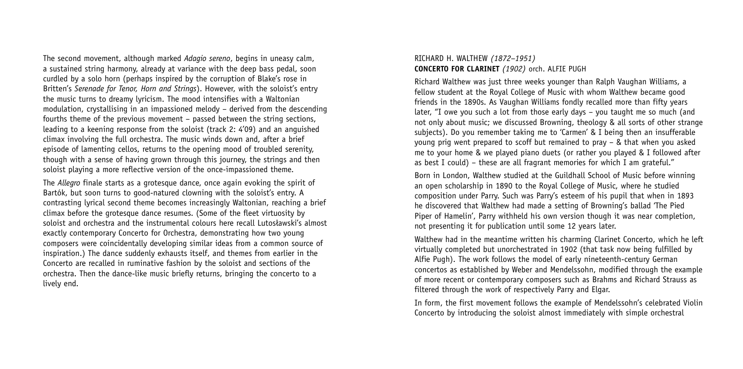The second movement, although marked *Adagio sereno*, begins in uneasy calm, a sustained string harmony, already at variance with the deep bass pedal, soon curdled by a solo horn (perhaps inspired by the corruption of Blake's rose in Britten's *Serenade for Tenor, Horn and Strings*). However, with the soloist's entry the music turns to dreamy lyricism. The mood intensifies with a Waltonian modulation, crystallising in an impassioned melody – derived from the descending fourths theme of the previous movement – passed between the string sections, leading to a keening response from the soloist (track 2: 4'09) and an anguished climax involving the full orchestra. The music winds down and, after a brief episode of lamenting cellos, returns to the opening mood of troubled serenity, though with a sense of having grown through this journey, the strings and then soloist playing a more reflective version of the once-impassioned theme.

The *Allegro* finale starts as a grotesque dance, once again evoking the spirit of Bartók, but soon turns to good-natured clowning with the soloist's entry. A contrasting lyrical second theme becomes increasingly Waltonian, reaching a brief climax before the grotesque dance resumes. (Some of the fleet virtuosity by soloist and orchestra and the instrumental colours here recall Lutosławski's almost exactly contemporary Concerto for Orchestra, demonstrating how two young composers were coincidentally developing similar ideas from a common source of inspiration.) The dance suddenly exhausts itself, and themes from earlier in the Concerto are recalled in ruminative fashion by the soloist and sections of the orchestra. Then the dance-like music briefly returns, bringing the concerto to a lively end.

### RICHARD H. WALTHEW *(1872–1951)* **CONCERTO FOR CLARINET** *(1902)* orch. ALFIE PUGH

Richard Walthew was just three weeks younger than Ralph Vaughan Williams, a fellow student at the Royal College of Music with whom Walthew became good friends in the 1890s. As Vaughan Williams fondly recalled more than fifty years later, "I owe you such a lot from those early days – you taught me so much (and not only about music; we discussed Browning, theology & all sorts of other strange subjects). Do you remember taking me to 'Carmen' & I being then an insufferable young prig went prepared to scoff but remained to pray – & that when you asked me to your home & we played piano duets (or rather you played & I followed after as best I could) – these are all fragrant memories for which I am grateful."

Born in London, Walthew studied at the Guildhall School of Music before winning an open scholarship in 1890 to the Royal College of Music, where he studied composition under Parry. Such was Parry's esteem of his pupil that when in 1893 he discovered that Walthew had made a setting of Browning's ballad 'The Pied Piper of Hamelin', Parry withheld his own version though it was near completion, not presenting it for publication until some 12 years later.

Walthew had in the meantime written his charming Clarinet Concerto, which he left virtually completed but unorchestrated in 1902 (that task now being fulfilled by Alfie Pugh). The work follows the model of early nineteenth-century German concertos as established by Weber and Mendelssohn, modified through the example of more recent or contemporary composers such as Brahms and Richard Strauss as filtered through the work of respectively Parry and Elgar.

In form, the first movement follows the example of Mendelssohn's celebrated Violin Concerto by introducing the soloist almost immediately with simple orchestral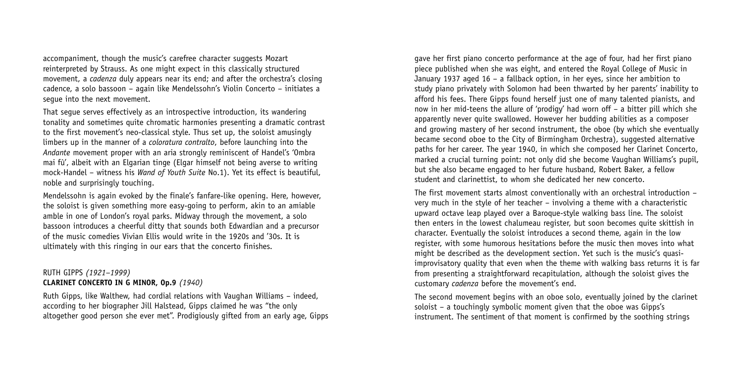accompaniment, though the music's carefree character suggests Mozart reinterpreted by Strauss. As one might expect in this classically structured movement, a *cadenza* duly appears near its end; and after the orchestra's closing cadence, a solo bassoon – again like Mendelssohn's Violin Concerto – initiates a segue into the next movement.

That segue serves effectively as an introspective introduction, its wandering tonality and sometimes quite chromatic harmonies presenting a dramatic contrast to the first movement's neo-classical style. Thus set up, the soloist amusingly limbers up in the manner of a *coloratura contralto*, before launching into the *Andante* movement proper with an aria strongly reminiscent of Handel's 'Ombra mai fù', albeit with an Elgarian tinge (Elgar himself not being averse to writing mock-Handel – witness his *Wand of Youth Suite* No.1). Yet its effect is beautiful, noble and surprisingly touching.

Mendelssohn is again evoked by the finale's fanfare-like opening. Here, however, the soloist is given something more easy-going to perform, akin to an amiable amble in one of London's royal parks. Midway through the movement, a solo bassoon introduces a cheerful ditty that sounds both Edwardian and a precursor of the music comedies Vivian Ellis would write in the 1920s and '30s. It is ultimately with this ringing in our ears that the concerto finishes.

# RUTH GIPPS *(1921–1999)* **CLARINET CONCERTO IN G MINOR, Op.9** *(1940)*

Ruth Gipps, like Walthew, had cordial relations with Vaughan Williams – indeed, according to her biographer Jill Halstead, Gipps claimed he was "the only altogether good person she ever met". Prodigiously gifted from an early age, Gipps gave her first piano concerto performance at the age of four, had her first piano piece published when she was eight, and entered the Royal College of Music in January 1937 aged 16 – a fallback option, in her eyes, since her ambition to study piano privately with Solomon had been thwarted by her parents' inability to afford his fees. There Gipps found herself just one of many talented pianists, and now in her mid-teens the allure of 'prodigy' had worn off – a bitter pill which she apparently never quite swallowed. However her budding abilities as a composer and growing mastery of her second instrument, the oboe (by which she eventually became second oboe to the City of Birmingham Orchestra), suggested alternative paths for her career. The year 1940, in which she composed her Clarinet Concerto, marked a crucial turning point: not only did she become Vaughan Williams's pupil, but she also became engaged to her future husband, Robert Baker, a fellow student and clarinettist, to whom she dedicated her new concerto.

The first movement starts almost conventionally with an orchestral introduction – very much in the style of her teacher – involving a theme with a characteristic upward octave leap played over a Baroque-style walking bass line. The soloist then enters in the lowest chalumeau register, but soon becomes quite skittish in character. Eventually the soloist introduces a second theme, again in the low register, with some humorous hesitations before the music then moves into what might be described as the development section. Yet such is the music's quasiimprovisatory quality that even when the theme with walking bass returns it is far from presenting a straightforward recapitulation, although the soloist gives the customary *cadenza* before the movement's end.

The second movement begins with an oboe solo, eventually joined by the clarinet soloist – a touchingly symbolic moment given that the oboe was Gipps's instrument. The sentiment of that moment is confirmed by the soothing strings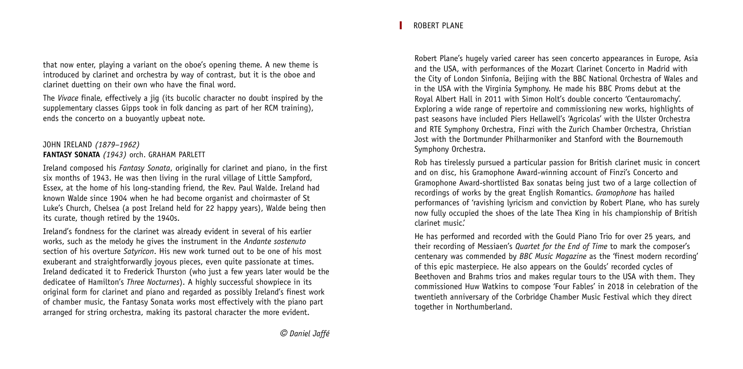that now enter, playing a variant on the oboe's opening theme. A new theme is introduced by clarinet and orchestra by way of contrast, but it is the oboe and clarinet duetting on their own who have the final word.

The *Vivace* finale, effectively a jig (its bucolic character no doubt inspired by the supplementary classes Gipps took in folk dancing as part of her RCM training), ends the concerto on a buoyantly upbeat note.

# JOHN IRELAND *(1879–1962)* **FANTASY SONATA** *(1943)* orch. GRAHAM PARLETT

Ireland composed his *Fantasy Sonata*, originally for clarinet and piano, in the first six months of 1943. He was then living in the rural village of Little Sampford, Essex, at the home of his long-standing friend, the Rev. Paul Walde. Ireland had known Walde since 1904 when he had become organist and choirmaster of St Luke's Church, Chelsea (a post Ireland held for 22 happy years), Walde being then its curate, though retired by the 1940s.

Ireland's fondness for the clarinet was already evident in several of his earlier works, such as the melody he gives the instrument in the *Andante sostenuto* section of his overture *Satyricon*. His new work turned out to be one of his most exuberant and straightforwardly joyous pieces, even quite passionate at times. Ireland dedicated it to Frederick Thurston (who just a few years later would be the dedicatee of Hamilton's *Three Nocturnes*). A highly successful showpiece in its original form for clarinet and piano and regarded as possibly Ireland's finest work of chamber music, the Fantasy Sonata works most effectively with the piano part arranged for string orchestra, making its pastoral character the more evident.

Robert Plane's hugely varied career has seen concerto appearances in Europe, Asia and the USA, with performances of the Mozart Clarinet Concerto in Madrid with the City of London Sinfonia, Beijing with the BBC National Orchestra of Wales and in the USA with the Virginia Symphony. He made his BBC Proms debut at the Royal Albert Hall in 2011 with Simon Holt's double concerto 'Centauromachy'. Exploring a wide range of repertoire and commissioning new works, highlights of past seasons have included Piers Hellawell's 'Agricolas' with the Ulster Orchestra and RTE Symphony Orchestra, Finzi with the Zurich Chamber Orchestra, Christian Jost with the Dortmunder Philharmoniker and Stanford with the Bournemouth Symphony Orchestra.

Rob has tirelessly pursued a particular passion for British clarinet music in concert and on disc, his Gramophone Award-winning account of Finzi's Concerto and Gramophone Award-shortlisted Bax sonatas being just two of a large collection of recordings of works by the great English Romantics. *Gramophone* has hailed performances of 'ravishing lyricism and conviction by Robert Plane, who has surely now fully occupied the shoes of the late Thea King in his championship of British clarinet music.'

He has performed and recorded with the Gould Piano Trio for over 25 years, and their recording of Messiaen's *Quartet for the End of Time* to mark the composer's centenary was commended by *BBC Music Magazine* as the 'finest modern recording' of this epic masterpiece. He also appears on the Goulds' recorded cycles of Beethoven and Brahms trios and makes regular tours to the USA with them. They commissioned Huw Watkins to compose 'Four Fables' in 2018 in celebration of the twentieth anniversary of the Corbridge Chamber Music Festival which they direct together in Northumberland.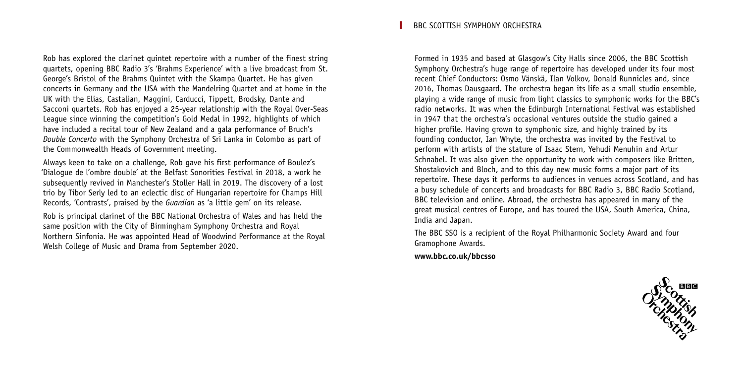Rob has explored the clarinet quintet repertoire with a number of the finest string quartets, opening BBC Radio 3's 'Brahms Experience' with a live broadcast from St. George's Bristol of the Brahms Quintet with the Skampa Quartet. He has given concerts in Germany and the USA with the Mandelring Quartet and at home in the UK with the Elias, Castalian, Maggini, Carducci, Tippett, Brodsky, Dante and Sacconi quartets. Rob has enjoyed a 25-year relationship with the Royal Over-Seas League since winning the competition's Gold Medal in 1992, highlights of which have included a recital tour of New Zealand and a gala performance of Bruch's *Double Concerto* with the Symphony Orchestra of Sri Lanka in Colombo as part of the Commonwealth Heads of Government meeting.

Always keen to take on a challenge, Rob gave his first performance of Boulez's 'Dialogue de l'ombre double' at the Belfast Sonorities Festival in 2018, a work he subsequently revived in Manchester's Stoller Hall in 2019. The discovery of a lost trio by Tibor Serly led to an eclectic disc of Hungarian repertoire for Champs Hill Records, 'Contrasts', praised by the *Guardian* as 'a little gem' on its release.

Rob is principal clarinet of the BBC National Orchestra of Wales and has held the same position with the City of Birmingham Symphony Orchestra and Royal Northern Sinfonia. He was appointed Head of Woodwind Performance at the Royal Welsh College of Music and Drama from September 2020.

BBC SCOTTISH SYMPHONY ORCHESTRA

Formed in 1935 and based at Glasgow's City Halls since 2006, the BBC Scottish Symphony Orchestra's huge range of repertoire has developed under its four most recent Chief Conductors: Osmo Vänskä, Ilan Volkov, Donald Runnicles and, since 2016, Thomas Dausgaard. The orchestra began its life as a small studio ensemble, playing a wide range of music from light classics to symphonic works for the BBC's radio networks. It was when the Edinburgh International Festival was established in 1947 that the orchestra's occasional ventures outside the studio gained a higher profile. Having grown to symphonic size, and highly trained by its founding conductor, Ian Whyte, the orchestra was invited by the Festival to perform with artists of the stature of Isaac Stern, Yehudi Menuhin and Artur Schnabel. It was also given the opportunity to work with composers like Britten, Shostakovich and Bloch, and to this day new music forms a major part of its repertoire. These days it performs to audiences in venues across Scotland, and has a busy schedule of concerts and broadcasts for BBC Radio 3, BBC Radio Scotland, BBC television and online. Abroad, the orchestra has appeared in many of the great musical centres of Europe, and has toured the USA, South America, China, India and Japan.

The BBC SSO is a recipient of the Royal Philharmonic Society Award and four Gramophone Awards.

**www.bbc.co.uk/bbcsso**